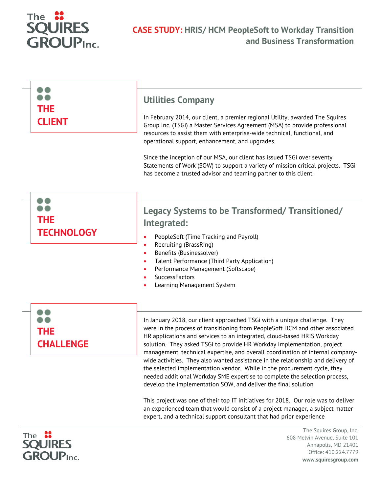

| <b>THE</b><br><b>CLIENT</b>     | <b>Utilities Company</b><br>In February 2014, our client, a premier regional Utility, awarded The Squires<br>Group Inc. (TSGi) a Master Services Agreement (MSA) to provide professional<br>resources to assist them with enterprise-wide technical, functional, and<br>operational support, enhancement, and upgrades.<br>Since the inception of our MSA, our client has issued TSGi over seventy<br>Statements of Work (SOW) to support a variety of mission critical projects. TSGi<br>has become a trusted advisor and teaming partner to this client.                                                                                                                                                          |
|---------------------------------|---------------------------------------------------------------------------------------------------------------------------------------------------------------------------------------------------------------------------------------------------------------------------------------------------------------------------------------------------------------------------------------------------------------------------------------------------------------------------------------------------------------------------------------------------------------------------------------------------------------------------------------------------------------------------------------------------------------------|
| <b>THE</b><br><b>TECHNOLOGY</b> | <b>Legacy Systems to be Transformed/ Transitioned/</b><br>Integrated:<br>PeopleSoft (Time Tracking and Payroll)<br>$\bullet$<br>Recruiting (BrassRing)<br>$\bullet$<br>Benefits (Businessolver)<br>Talent Performance (Third Party Application)<br>Performance Management (Softscape)<br>SuccessFactors<br>Learning Management System                                                                                                                                                                                                                                                                                                                                                                               |
| <b>THE</b><br><b>CHALLENGE</b>  | In January 2018, our client approached TSGi with a unique challenge. They<br>were in the process of transitioning from PeopleSoft HCM and other associated<br>HR applications and services to an integrated, cloud-based HRIS Workday<br>solution. They asked TSGi to provide HR Workday implementation, project<br>management, technical expertise, and overall coordination of internal company-<br>wide activities. They also wanted assistance in the relationship and delivery of<br>the selected implementation vendor. While in the procurement cycle, they<br>needed additional Workday SME expertise to complete the selection process,<br>develop the implementation SOW, and deliver the final solution. |

This project was one of their top IT initiatives for 2018. Our role was to deliver an experienced team that would consist of a project manager, a subject matter expert, and a technical support consultant that had prior experience



The Squires Group, Inc. 608 Melvin Avenue, Suite 101 Annapolis, MD 21401 Office: 410.224.7779 **www.squiresgroup.com**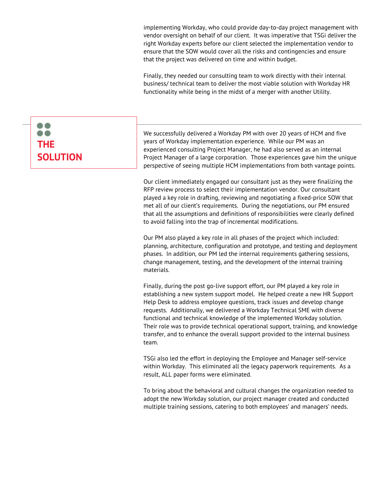implementing Workday, who could provide day-to-day project management with vendor oversight on behalf of our client. It was imperative that TSGi deliver the right Workday experts before our client selected the implementation vendor to ensure that the SOW would cover all the risks and contingencies and ensure that the project was delivered on time and within budget.

Finally, they needed our consulting team to work directly with their internal business/ technical team to deliver the most viable solution with Workday HR functionality while being in the midst of a merger with another Utility.

## We successfully delivered a Workday PM with over 20 years of HCM and five years of Workday implementation experience. While our PM was an experienced consulting Project Manager, he had also served as an internal Project Manager of a large corporation. Those experiences gave him the unique perspective of seeing multiple HCM implementations from both vantage points.

Our client immediately engaged our consultant just as they were finalizing the RFP review process to select their implementation vendor. Our consultant played a key role in drafting, reviewing and negotiating a fixed-price SOW that met all of our client's requirements. During the negotiations, our PM ensured that all the assumptions and definitions of responsibilities were clearly defined to avoid falling into the trap of incremental modifications.

Our PM also played a key role in all phases of the project which included: planning, architecture, configuration and prototype, and testing and deployment phases. In addition, our PM led the internal requirements gathering sessions, change management, testing, and the development of the internal training materials.

Finally, during the post go-live support effort, our PM played a key role in establishing a new system support model. He helped create a new HR Support Help Desk to address employee questions, track issues and develop change requests. Additionally, we delivered a Workday Technical SME with diverse functional and technical knowledge of the implemented Workday solution. Their role was to provide technical operational support, training, and knowledge transfer, and to enhance the overall support provided to the internal business team.

TSGi also led the effort in deploying the Employee and Manager self-service within Workday. This eliminated all the legacy paperwork requirements. As a result, ALL paper forms were eliminated.

To bring about the behavioral and cultural changes the organization needed to adopt the new Workday solution, our project manager created and conducted multiple training sessions, catering to both employees' and managers' needs.